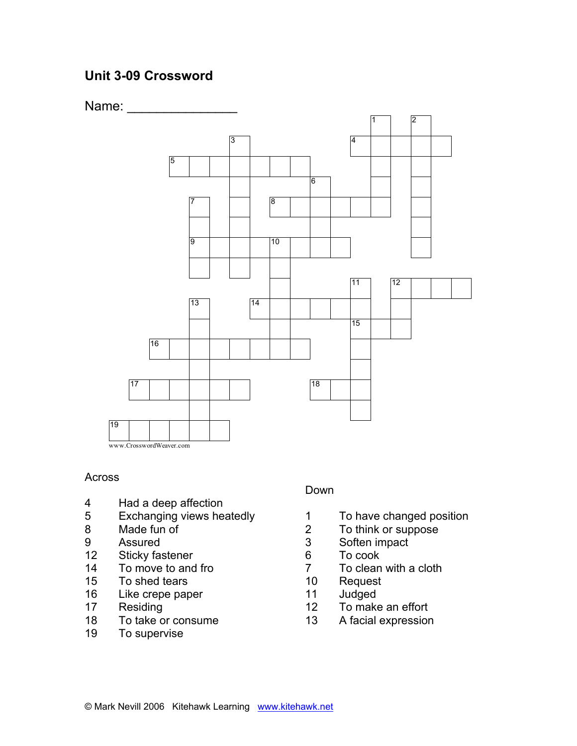# **Unit 3-09 Crossword**



### Across

- 4 Had a deep affection
- 5 Exchanging views heatedly
- 8 Made fun of
- 9 Assured
- 12 Sticky fastener
- 14 To move to and fro
- 15 To shed tears
- 16 Like crepe paper
- 17 Residing
- 18 To take or consume
- 19 To supervise

### Down

- 1 To have changed position<br>2 To think or suppose
- To think or suppose
- 3 Soften impact
- 6 To cook
- 7 To clean with a cloth
- 10 Request
- 11 Judged
- 12 To make an effort
- 13 A facial expression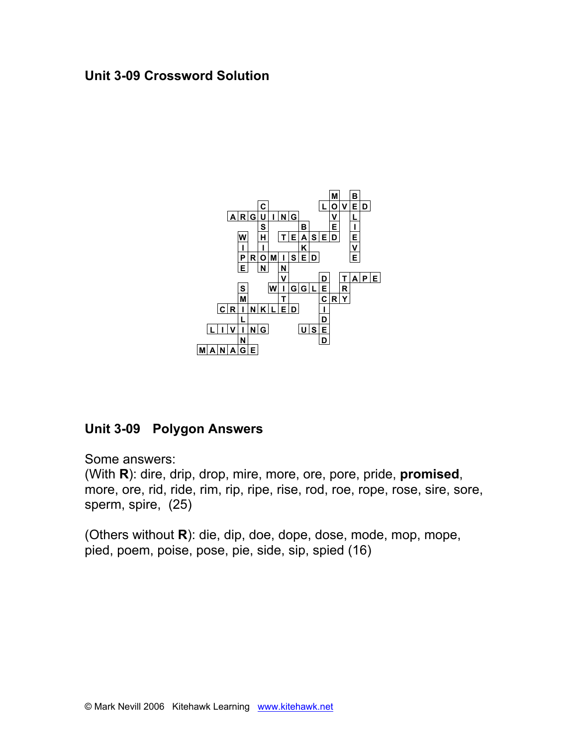### **Unit 3-09 Crossword Solution**



## **Unit 3-09 Polygon Answers**

Some answers:

(With **R**): dire, drip, drop, mire, more, ore, pore, pride, **promised**, more, ore, rid, ride, rim, rip, ripe, rise, rod, roe, rope, rose, sire, sore, sperm, spire, (25)

(Others without **R**): die, dip, doe, dope, dose, mode, mop, mope, pied, poem, poise, pose, pie, side, sip, spied (16)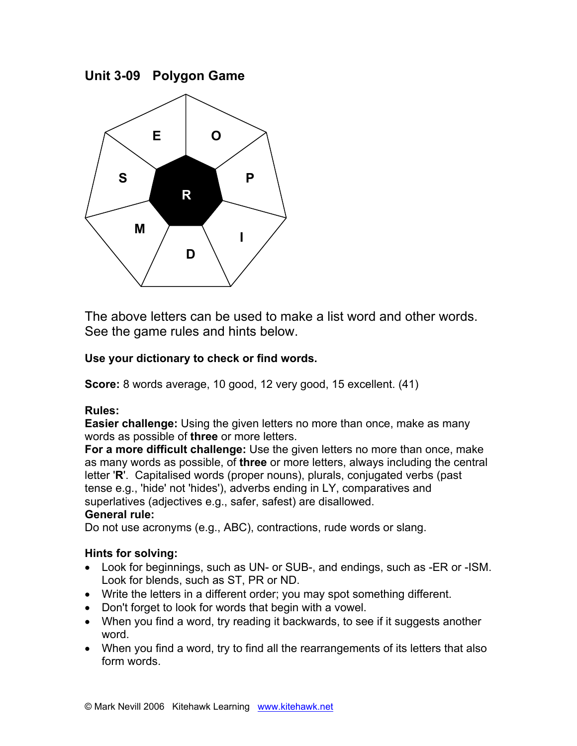**Unit 3-09 Polygon Game**



The above letters can be used to make a list word and other words. See the game rules and hints below.

### **Use your dictionary to check or find words.**

**Score:** 8 words average, 10 good, 12 very good, 15 excellent. (41)

### **Rules:**

**Easier challenge:** Using the given letters no more than once, make as many words as possible of **three** or more letters.

**For a more difficult challenge:** Use the given letters no more than once, make as many words as possible, of **three** or more letters, always including the central letter '**R**'. Capitalised words (proper nouns), plurals, conjugated verbs (past tense e.g., 'hide' not 'hides'), adverbs ending in LY, comparatives and superlatives (adjectives e.g., safer, safest) are disallowed.

### **General rule:**

Do not use acronyms (e.g., ABC), contractions, rude words or slang.

### **Hints for solving:**

- Look for beginnings, such as UN- or SUB-, and endings, such as -ER or -ISM. Look for blends, such as ST, PR or ND.
- Write the letters in a different order; you may spot something different.
- Don't forget to look for words that begin with a vowel.
- When you find a word, try reading it backwards, to see if it suggests another word.
- When you find a word, try to find all the rearrangements of its letters that also form words.